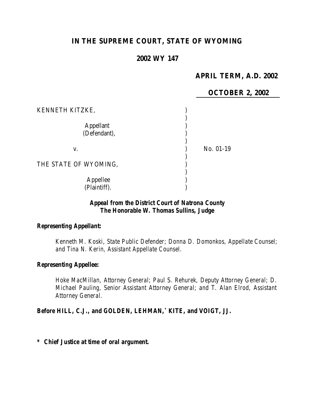# **IN THE SUPREME COURT, STATE OF WYOMING**

## **2002 WY 147**

## **APRIL TERM, A.D. 2002**

|                                                     | <b>OCTOBER 2, 2002</b> |
|-----------------------------------------------------|------------------------|
| KENNETH KITZKE,<br><b>Appellant</b><br>(Defendant), |                        |
| V.                                                  | No. 01-19              |
| THE STATE OF WYOMING,                               |                        |
| Appellee<br>(Plaintiff).                            |                        |

### *Appeal from the District Court of Natrona County The Honorable W. Thomas Sullins, Judge*

### *Representing Appellant:*

*Kenneth M. Koski, State Public Defender; Donna D. Domonkos, Appellate Counsel; and Tina N. Kerin, Assistant Appellate Counsel.*

#### *Representing Appellee:*

*Hoke MacMillan, Attorney General; Paul S. Rehurek, Deputy Attorney General; D. Michael Pauling, Senior Assistant Attorney General; and T. Alan Elrod, Assistant Attorney General.*

#### *Before HILL, C.J., and GOLDEN, LEHMAN,\* KITE, and VOIGT, JJ.*

*\* Chief Justice at time of oral argument.*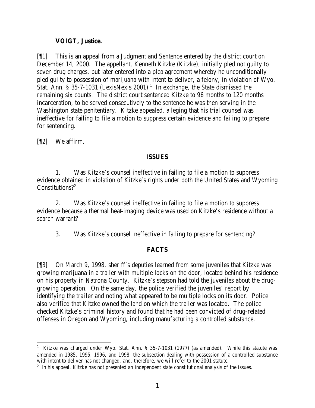### **VOIGT, Justice.**

[¶1] This is an appeal from a Judgment and Sentence entered by the district court on December 14, 2000. The appellant, Kenneth Kitzke (Kitzke), initially pled not guilty to seven drug charges, but later entered into a plea agreement whereby he unconditionally pled guilty to possession of marijuana with intent to deliver, a felony, in violation of Wyo. Stat. Ann. § 35-7-1031 (LexisNexis 2001).<sup>1</sup> In exchange, the State dismissed the remaining six counts. The district court sentenced Kitzke to 96 months to 120 months incarceration, to be served consecutively to the sentence he was then serving in the Washington state penitentiary. Kitzke appealed, alleging that his trial counsel was ineffective for failing to file a motion to suppress certain evidence and failing to prepare for sentencing.

[¶2] We affirm.

## **ISSUES**

1. Was Kitzke's counsel ineffective in failing to file a motion to suppress evidence obtained in violation of Kitzke's rights under both the United States and Wyoming Constitutions?<sup>2</sup>

2. Was Kitzke's counsel ineffective in failing to file a motion to suppress evidence because a thermal heat-imaging device was used on Kitzke's residence without a search warrant?

3. Was Kitzke's counsel ineffective in failing to prepare for sentencing?

# **FACTS**

[¶3] On March 9, 1998, sheriff's deputies learned from some juveniles that Kitzke was growing marijuana in a trailer with multiple locks on the door, located behind his residence on his property in Natrona County. Kitzke's stepson had told the juveniles about the druggrowing operation. On the same day, the police verified the juveniles' report by identifying the trailer and noting what appeared to be multiple locks on its door. Police also verified that Kitzke owned the land on which the trailer was located. The police checked Kitzke's criminal history and found that he had been convicted of drug-related offenses in Oregon and Wyoming, including manufacturing a controlled substance.

 <sup>1</sup> Kitzke was charged under Wyo. Stat. Ann. § 35-7-1031 (1977) (as amended). While this statute was amended in 1985, 1995, 1996, and 1998, the subsection dealing with possession of a controlled substance with intent to deliver has not changed, and, therefore, we will refer to the 2001 statute.

<sup>&</sup>lt;sup>2</sup> In his appeal, Kitzke has not presented an independent state constitutional analysis of the issues.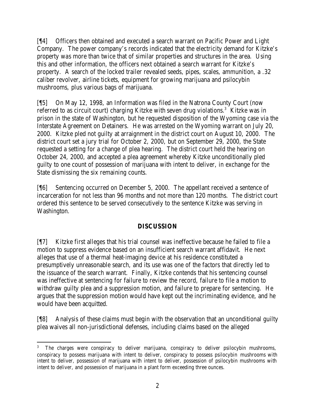[¶4] Officers then obtained and executed a search warrant on Pacific Power and Light Company. The power company's records indicated that the electricity demand for Kitzke's property was more than twice that of similar properties and structures in the area. Using this and other information, the officers next obtained a search warrant for Kitzke's property. A search of the locked trailer revealed seeds, pipes, scales, ammunition, a .32 caliber revolver, airline tickets, equipment for growing marijuana and psilocybin mushrooms, plus various bags of marijuana.

[¶5] On May 12, 1998, an Information was filed in the Natrona County Court (now referred to as circuit court) charging Kitzke with seven drug violations.<sup>3</sup> Kitzke was in prison in the state of Washington, but he requested disposition of the Wyoming case via the Interstate Agreement on Detainers. He was arrested on the Wyoming warrant on July 20, 2000. Kitzke pled not guilty at arraignment in the district court on August 10, 2000. The district court set a jury trial for October 2, 2000, but on September 29, 2000, the State requested a setting for a change of plea hearing. The district court held the hearing on October 24, 2000, and accepted a plea agreement whereby Kitzke unconditionally pled guilty to one count of possession of marijuana with intent to deliver, in exchange for the State dismissing the six remaining counts.

[¶6] Sentencing occurred on December 5, 2000. The appellant received a sentence of incarceration for not less than 96 months and not more than 120 months. The district court ordered this sentence to be served consecutively to the sentence Kitzke was serving in Washington.

# **DISCUSSION**

[¶7] Kitzke first alleges that his trial counsel was ineffective because he failed to file a motion to suppress evidence based on an insufficient search warrant affidavit. He next alleges that use of a thermal heat-imaging device at his residence constituted a presumptively unreasonable search, and its use was one of the factors that directly led to the issuance of the search warrant. Finally, Kitzke contends that his sentencing counsel was ineffective at sentencing for failure to review the record, failure to file a motion to withdraw guilty plea and a suppression motion, and failure to prepare for sentencing. He argues that the suppression motion would have kept out the incriminating evidence, and he would have been acquitted.

[¶8] Analysis of these claims must begin with the observation that an unconditional guilty plea waives all non-jurisdictional defenses, including claims based on the alleged

 3 The charges were conspiracy to deliver marijuana, conspiracy to deliver psilocybin mushrooms, conspiracy to possess marijuana with intent to deliver, conspiracy to possess psilocybin mushrooms with intent to deliver, possession of marijuana with intent to deliver, possession of psilocybin mushrooms with intent to deliver, and possession of marijuana in a plant form exceeding three ounces.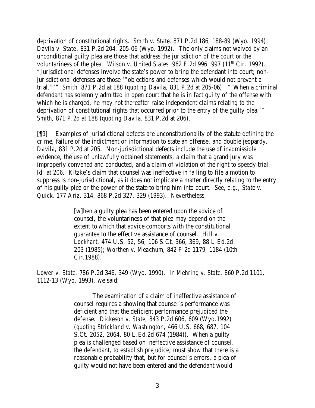deprivation of constitutional rights. *Smith v. State*, 871 P.2d 186, 188-89 (Wyo. 1994); *Davila v. State*, 831 P.2d 204, 205-06 (Wyo. 1992). The only claims not waived by an unconditional guilty plea are those that address the jurisdiction of the court or the voluntariness of the plea. *Wilson v. United States*, 962 F.2d 996, 997 (11<sup>th</sup> Cir. 1992). "Jurisdictional defenses involve the state's power to bring the defendant into court; nonjurisdictional defenses are those '"objections and defenses which would not prevent a trial."'" *Smith*, 871 P.2d at 188 (*quoting Davila*, 831 P.2d at 205-06). "'When a criminal defendant has solemnly admitted in open court that he is in fact guilty of the offense with which he is charged, he may not thereafter raise independent claims relating to the deprivation of constitutional rights that occurred prior to the entry of the guilty plea.'" *Smith*, 871 P.2d at 188 (*quoting Davila*, 831 P.2d at 206).

[¶9] Examples of jurisdictional defects are unconstitutionality of the statute defining the crime, failure of the indictment or information to state an offense, and double jeopardy. *Davila*, 831 P.2d at 205. Non-jurisdictional defects include the use of inadmissible evidence, the use of unlawfully obtained statements, a claim that a grand jury was improperly convened and conducted, and a claim of violation of the right to speedy trial. *Id.* at 206. Kitzke's claim that counsel was ineffective in failing to file a motion to suppress is non-jurisdictional, as it does not implicate a matter directly relating to the entry of his guilty plea or the power of the state to bring him into court. *See, e.g.*, *State v. Quick*, 177 Ariz. 314, 868 P.2d 327, 329 (1993). Nevertheless,

> [w]hen a guilty plea has been entered upon the advice of counsel, the voluntariness of that plea may depend on the extent to which that advice comports with the constitutional guarantee to the effective assistance of counsel. *Hill v. Lockhart,* 474 U.S. 52, 56, 106 S.Ct. 366, 369, 88 L.Ed.2d 203 (1985); *Worthen v. Meachum,* 842 F.2d 1179, 1184 (10th Cir.1988).

*Lower v. State,* 786 P.2d 346, 349 (Wyo. 1990). In *Mehring v. State,* 860 P.2d 1101, 1112-13 (Wyo. 1993), we said:

> The examination of a claim of ineffective assistance of counsel requires a showing that counsel's performance was deficient and that the deficient performance prejudiced the defense. *Dickeson v. State,* 843 P.2d 606, 609 (Wyo.1992) (*quoting Strickland v. Washington,* 466 U.S. 668, 687, 104 S.Ct. 2052, 2064, 80 L.Ed.2d 674 (1984)). When a guilty plea is challenged based on ineffective assistance of counsel, the defendant, to establish prejudice, must show that there is a reasonable probability that, but for counsel's errors, a plea of guilty would not have been entered and the defendant would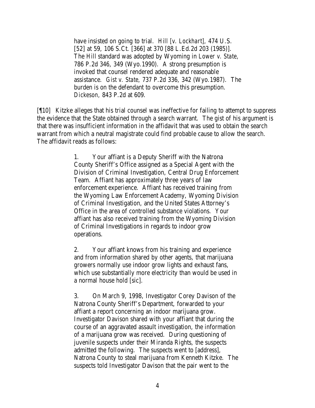have insisted on going to trial. *Hill [v. Lockhart],* 474 U.S. [52] at 59, 106 S.Ct. [366] at 370 [88 L.Ed.2d 203 (1985)]. The *Hill* standard was adopted by Wyoming in *Lower v. State,*  786 P.2d 346, 349 (Wyo.1990). A strong presumption is invoked that counsel rendered adequate and reasonable assistance. *Gist v. State,* 737 P.2d 336, 342 (Wyo.1987). The burden is on the defendant to overcome this presumption. *Dickeson,* 843 P.2d at 609.

[¶10] Kitzke alleges that his trial counsel was ineffective for failing to attempt to suppress the evidence that the State obtained through a search warrant. The gist of his argument is that there was insufficient information in the affidavit that was used to obtain the search warrant from which a neutral magistrate could find probable cause to allow the search. The affidavit reads as follows:

> 1. Your affiant is a Deputy Sheriff with the Natrona County Sheriff's Office assigned as a Special Agent with the Division of Criminal Investigation, Central Drug Enforcement Team. Affiant has approximately three years of law enforcement experience. Affiant has received training from the Wyoming Law Enforcement Academy, Wyoming Division of Criminal Investigation, and the United States Attorney's Office in the area of controlled substance violations. Your affiant has also received training from the Wyoming Division of Criminal Investigations in regards to indoor grow operations.

2. Your affiant knows from his training and experience and from information shared by other agents, that marijuana growers normally use indoor grow lights and exhaust fans, which use substantially more electricity than would be used in a normal house hold [sic].

3. On March 9, 1998, Investigator Corey Davison of the Natrona County Sheriff's Department, forwarded to your affiant a report concerning an indoor marijuana grow. Investigator Davison shared with your affiant that during the course of an aggravated assault investigation, the information of a marijuana grow was received. During questioning of juvenile suspects under their Miranda Rights, the suspects admitted the following. The suspects went to [address], Natrona County to steal marijuana from Kenneth Kitzke. The suspects told Investigator Davison that the pair went to the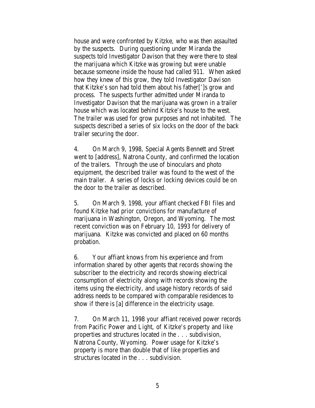house and were confronted by Kitzke, who was then assaulted by the suspects. During questioning under Miranda the suspects told Investigator Davison that they were there to steal the marijuana which Kitzke was growing but were unable because someone inside the house had called 911. When asked how they knew of this grow, they told Investigator Davison that Kitzke's son had told them about his father[']s grow and process. The suspects further admitted under Miranda to Investigator Davison that the marijuana was grown in a trailer house which was located behind Kitzke's house to the west. The trailer was used for grow purposes and not inhabited. The suspects described a series of six locks on the door of the back trailer securing the door.

4. On March 9, 1998, Special Agents Bennett and Street went to [address], Natrona County, and confirmed the location of the trailers. Through the use of binoculars and photo equipment, the described trailer was found to the west of the main trailer. A series of locks or locking devices could be on the door to the trailer as described.

5. On March 9, 1998, your affiant checked FBI files and found Kitzke had prior convictions for manufacture of marijuana in Washington, Oregon, and Wyoming. The most recent conviction was on February 10, 1993 for delivery of marijuana. Kitzke was convicted and placed on 60 months probation.

6. Your affiant knows from his experience and from information shared by other agents that records showing the subscriber to the electricity and records showing electrical consumption of electricity along with records showing the items using the electricity, and usage history records of said address needs to be compared with comparable residences to show if there is [a] difference in the electricity usage.

7. On March 11, 1998 your affiant received power records from Pacific Power and Light, of Kitzke's property and like properties and structures located in the . . . subdivision, Natrona County, Wyoming. Power usage for Kitzke's property is more than double that of like properties and structures located in the . . . subdivision.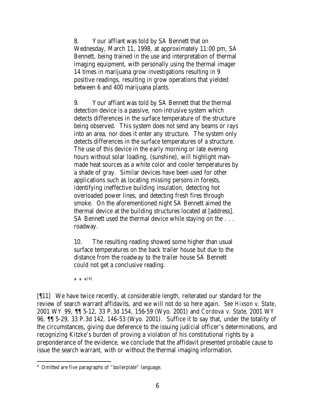8. Your affiant was told by SA Bennett that on Wednesday, March 11, 1998, at approximately 11:00 pm, SA Bennett, being trained in the use and interpretation of thermal imaging equipment, with personally using the thermal imager 14 times in marijuana grow investigations resulting in 9 positive readings, resulting in grow operations that yielded between 6 and 400 marijuana plants.

9. Your affiant was told by SA Bennett that the thermal detection device is a passive, non-intrusive system which detects differences in the surface temperature of the structure being observed. This system does not send any beams or rays into an area, nor does it enter any structure. The system only detects differences in the surface temperatures of a structure. The use of this device in the e arly morning or late evening hours without solar loading, (sunshine), will highlight manmade heat sources as a white color and cooler temperatures by a shade of gray. Similar devices have been used for other applications such as locating missing persons in forests, identifying ineffective building insulation, detecting hot overloaded power lines, and detecting fresh fires through smoke. On the aforementioned night SA Bennett aimed the thermal device at the building structures located at [address]. SA Bennett used the thermal device while staying on the . . . roadway.

10. The resulting reading showed some higher than usual surface temperatures on the back trailer house but due to the distance from the roadway to the trailer house SA Bennett could not get a conclusive reading.

 $* * *[4]$ 

[¶11] We have twice recently, at considerable length, reiterated our standard for the review of search warrant affidavits, and we will not do so here again. *See Hixson v. State*, 2001 WY 99, ¶¶ 5-12, 33 P.3d 154, 156-59 (Wyo. 2001) and *Cordova v. State*, 2001 WY 96, ¶¶ 5-29, 33 P.3d 142, 146-53 (Wyo. 2001). Suffice it to say that, under the totality of the circumstances, giving due deference to the issuing judicial officer's determinations, and recognizing Kitzke's burden of proving a violation of his constitutional rights by a preponderance of the evidence, we conclude that the affidavit presented probable cause to issue the search warrant, with or without the thermal imaging information.

<sup>4</sup> Omitted are five paragraphs of "boilerplate" language.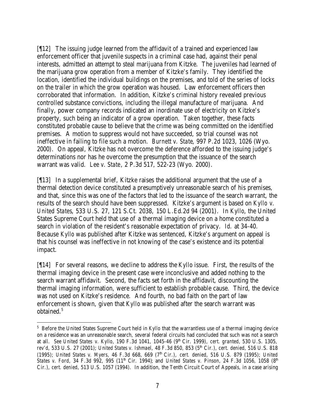[¶12] The issuing judge learned from the affidavit of a trained and experienced law enforcement officer that juvenile suspects in a criminal case had, against their penal interests, admitted an attempt to steal marijuana from Kitzke. The juveniles had learned of the marijuana grow operation from a member of Kitzke's family. They identified the location, identified the individual buildings on the premises, and told of the series of locks on the trailer in which the grow operation was housed. Law enforcement officers then corroborated that information. In addition, Kitzke's criminal history revealed previous controlled substance convictions, including the illegal manufacture of marijuana. And finally, power company records indicated an inordinate use of electricity on Kitzke's property, such being an indicator of a grow operation. Taken together, these facts constituted probable cause to believe that the crime was being committed on the identified premises. A motion to suppress would not have succeeded, so trial counsel was not ineffective in failing to file such a motion. *Burnett v. State*, 997 P.2d 1023, 1026 (Wyo. 2000). On appeal, Kitzke has not overcome the deference afforded to the issuing judge's determinations nor has he overcome the presumption that the issuance of the search warrant was valid. *Lee v. State*, 2 P.3d 517, 522-23 (Wyo. 2000).

[¶13] In a supplemental brief, Kitzke raises the additional argument that the use of a thermal detection device constituted a presumptively unreasonable search of his premises, and that, since this was one of the factors that led to the issuance of the search warrant, the results of the search should have been suppressed. Kitzke's argument is based on *Kyllo v. United States*, 533 U.S. 27, 121 S.Ct. 2038, 150 L.Ed.2d 94 (2001). In *Kyllo*, the United States Supreme Court held that use of a thermal imaging device on a home constituted a search in violation of the resident's reasonable expectation of privacy. *Id.* at 34-40. Because *Kyllo* was published after Kitzke was sentenced, Kitzke's argument on appeal is that his counsel was ineffective in not knowing of the case's existence and its potential impact.

[¶14] For several reasons, we decline to address the *Kyllo* issue. First, the results of the thermal imaging device in the present case were inconclusive and added nothing to the search warrant affidavit. Second, the facts set forth in the affidavit, discounting the thermal imaging information, were sufficient to establish probable cause. Third, the device was not used on Kitzke's residence. And fourth, no bad faith on the part of law enforcement is shown, given that *Kyllo* was published after the search warrant was obtained.<sup>5</sup>

<sup>&</sup>lt;sup>5</sup> Before the United States Supreme Court held in *Kyllo* that the warrantless use of a thermal imaging device on a residence was an unreasonable search, several federal circuits had concluded that such was not a search at all. *See United States v. Kyllo*, 190 F.3d 1041, 1045-46 (9<sup>th</sup> Cir. 1999), *cert. granted*, 530 U.S. 1305, *rev'd*, 533 U.S. 27 (2001); *United States v. Ishmael*, 48 F.3d 850, 853 (5<sup>th</sup> Cir.), *cert. denied*, 516 U.S. 818 (1995); *United States v. Myers*, 46 F.3d 668, 669 (7<sup>th</sup> Cir.), *cert. denied*, 516 U.S. 879 (1995); *United States v. Ford*, 34 F.3d 992, 995 (11<sup>th</sup> Cir. 1994); and *United States v. Pinson*, 24 F.3d 1056, 1058 (8<sup>th</sup> Cir.), *cert. denied*, 513 U.S. 1057 (1994). In addition, the Tenth Circuit Court of Appeals, in a case arising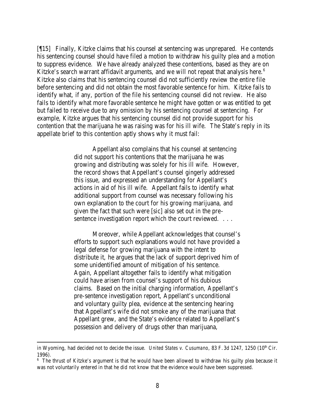[¶15] Finally, Kitzke claims that his counsel at sentencing was unprepared. He contends his sentencing counsel should have filed a motion to withdraw his guilty plea and a motion to suppress evidence. We have already analyzed these contentions, based as they are on Kitzke's search warrant affidavit arguments, and we will not repeat that analysis here. $6$ Kitzke also claims that his sentencing counsel did not sufficiently review the entire file before sentencing and did not obtain the most favorable sentence for him. Kitzke fails to identify what, if any, portion of the file his sentencing counsel did not review. He also fails to identify what more favorable sentence he might have gotten or was entitled to get but failed to receive due to any omission by his sentencing counsel at sentencing. For example, Kitzke argues that his sentencing counsel did not provide support for his contention that the marijuana he was raising was for his ill wife. The State's reply in its appellate brief to this contention aptly shows why it must fail:

> Appellant also complains that his counsel at sentencing did not support his contentions that the marijuana he was growing and distributing was solely for his ill wife. However, the record shows that Appellant's counsel gingerly addressed this issue, and expressed an understanding for Appellant's actions in aid of his ill wife. Appellant fails to identify what additional support from counsel was necessary following his own explanation to the court for his growing marijuana, and given the fact that such were [sic] also set out in the presentence investigation report which the court reviewed. . . .

Moreover, while Appellant acknowledges that counsel's efforts to support such explanations would not have provided a legal defense for growing marijuana with the intent to distribute it, he argues that the lack of support deprived him of some unidentified amount of mitigation of his sentence. Again, Appellant altogether fails to identify what mitigation could have arisen from counsel's support of his dubious claims. Based on the initial charging information, Appellant's pre-sentence investigation report, Appellant's unconditional and voluntary guilty plea, evidence at the sentencing hearing that Appellant's wife did not smoke any of the marijuana that Appellant grew, and the State's evidence related to Appellant's possession and delivery of drugs other than marijuana,

in Wyoming, had decided not to decide the issue. *United States v. Cusumano*, 83 F.3d 1247, 1250 (10<sup>th</sup> Cir. 1996).

<sup>&</sup>lt;sup>6</sup> The thrust of Kitzke's argument is that he would have been allowed to withdraw his guilty plea because it was not voluntarily entered in that he did not know that the evidence would have been suppressed.